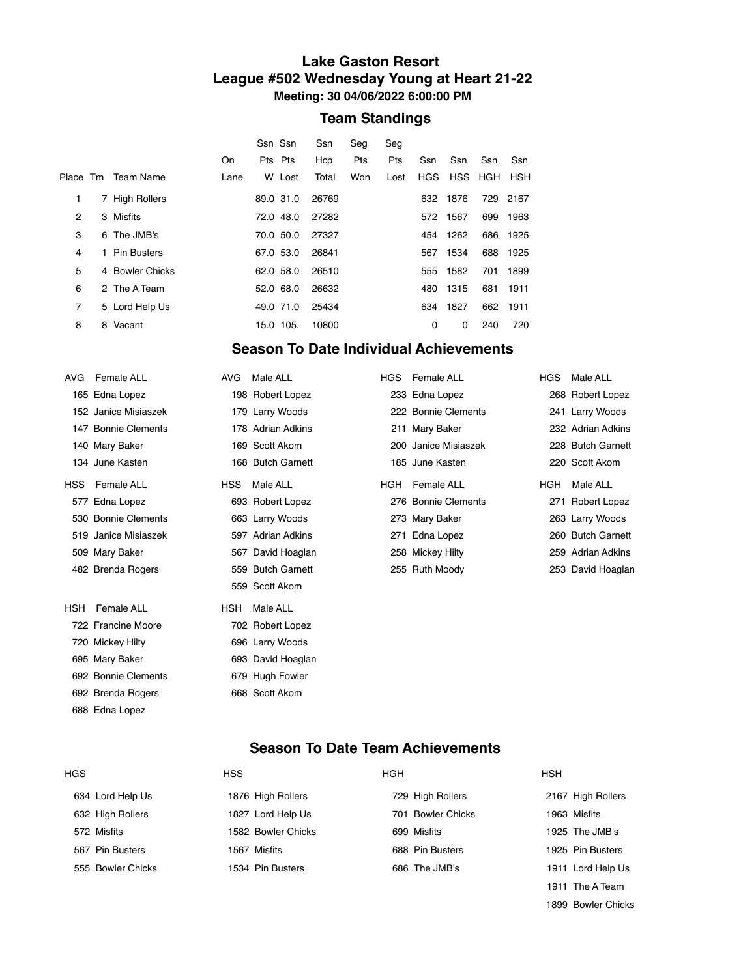#### **Lake Gaston Resort League #502 Wednesday Young at Heart 21-22 Meeting: 30 04/06/2022 6:00:00 PM**

## **Team Standings**

|                |   |                    | On   | Ssn Ssn<br>Pts Pts |           | Ssn<br>Hcp | Seg<br>Pts | Seg<br>Pts | Ssn        | Ssn      | Ssn     | Ssn  |
|----------------|---|--------------------|------|--------------------|-----------|------------|------------|------------|------------|----------|---------|------|
|                |   | Place Tm Team Name | Lane |                    | W Lost    | Total      | Won        | Lost       | <b>HGS</b> |          | HSS HGH | HSH  |
| 1              |   | 7 High Rollers     |      | 89.0 31.0          |           | 26769      |            |            | 632        | 1876     | 729     | 2167 |
| 2              |   | 3 Misfits          |      | 72.0 48.0          |           | 27282      |            |            |            | 572 1567 | 699     | 1963 |
| 3              |   | 6 The JMB's        |      |                    | 70.0 50.0 | 27327      |            |            | 454        | 1262     | 686     | 1925 |
| 4              |   | 1 Pin Busters      |      | 67.0 53.0          |           | 26841      |            |            | 567        | 1534     | 688     | 1925 |
| 5              |   | 4 Bowler Chicks    |      | 62.0 58.0          |           | 26510      |            |            | 555        | 1582     | 701     | 1899 |
| 6              |   | 2 The A Team       |      | 52.0 68.0          |           | 26632      |            |            | 480        | 1315     | 681     | 1911 |
| $\overline{7}$ |   | 5 Lord Help Us     |      | 49.0 71.0          |           | 25434      |            |            | 634        | 1827     | 662     | 1911 |
| 8              | 8 | Vacant             |      | 15.0 105.          |           | 10800      |            |            | 0          | 0        | 240     | 720  |

## **Season To Date Individual Achievements**

| AVG  | <b>Female ALL</b>    | <b>AVG</b> | Male ALL          | <b>HGS</b> | Female ALL           | HGS. | Male ALL          |
|------|----------------------|------------|-------------------|------------|----------------------|------|-------------------|
|      | 165 Edna Lopez       |            | 198 Robert Lopez  |            | 233 Edna Lopez       |      | 268 Robert Lopez  |
|      | 152 Janice Misiaszek |            | 179 Larry Woods   |            | 222 Bonnie Clements  |      | 241 Larry Woods   |
|      | 147 Bonnie Clements  |            | 178 Adrian Adkins |            | 211 Mary Baker       |      | 232 Adrian Adkins |
|      | 140 Mary Baker       |            | 169 Scott Akom    |            | 200 Janice Misiaszek |      | 228 Butch Garnett |
|      | 134 June Kasten      |            | 168 Butch Garnett |            | 185 June Kasten      |      | 220 Scott Akom    |
| HSS  | <b>Female ALL</b>    | <b>HSS</b> | Male ALL          | HGH        | Female ALL           | HGH  | Male ALL          |
| 577  | Edna Lopez           |            | 693 Robert Lopez  |            | 276 Bonnie Clements  |      | 271 Robert Lopez  |
|      | 530 Bonnie Clements  |            | 663 Larry Woods   |            | 273 Mary Baker       |      | 263 Larry Woods   |
|      | 519 Janice Misiaszek |            | 597 Adrian Adkins |            | 271 Edna Lopez       |      | 260 Butch Garnett |
|      | 509 Mary Baker       |            | 567 David Hoaglan |            | 258 Mickey Hilty     |      | 259 Adrian Adkins |
|      | 482 Brenda Rogers    |            | 559 Butch Garnett |            | 255 Ruth Moody       |      | 253 David Hoaglan |
|      |                      |            | 559 Scott Akom    |            |                      |      |                   |
| HSH. | <b>Female ALL</b>    | <b>HSH</b> | Male ALL          |            |                      |      |                   |
|      | 722 Francine Moore   |            | 702 Robert Lopez  |            |                      |      |                   |
|      | 720 Mickey Hilty     |            | 696 Larry Woods   |            |                      |      |                   |
|      | 695 Mary Baker       |            | 693 David Hoaglan |            |                      |      |                   |
|      | 692 Bonnie Clements  |            | 679 Hugh Fowler   |            |                      |      |                   |
|      | 692 Brenda Rogers    |            | 668 Scott Akom    |            |                      |      |                   |
|      | 688 Edna Lopez       |            |                   |            |                      |      |                   |

## **Season To Date Team Achievements**

| <b>HGS</b> |                   | <b>HSS</b>         | <b>HGH</b>        | <b>HSH</b>        |
|------------|-------------------|--------------------|-------------------|-------------------|
|            | 634 Lord Help Us  | 1876 High Rollers  | 729 High Rollers  | 2167 High Rollers |
|            | 632 High Rollers  | 1827 Lord Help Us  | 701 Bowler Chicks | 1963 Misfits      |
|            | 572 Misfits       | 1582 Bowler Chicks | 699 Misfits       | 1925 The JMB's    |
|            | 567 Pin Busters   | 1567 Misfits       | 688 Pin Busters   | 1925 Pin Busters  |
|            | 555 Bowler Chicks | 1534 Pin Busters   | 686 The JMB's     | 1911 Lord Help Us |
|            |                   |                    |                   | 1911 The A Team   |

Bowler Chicks